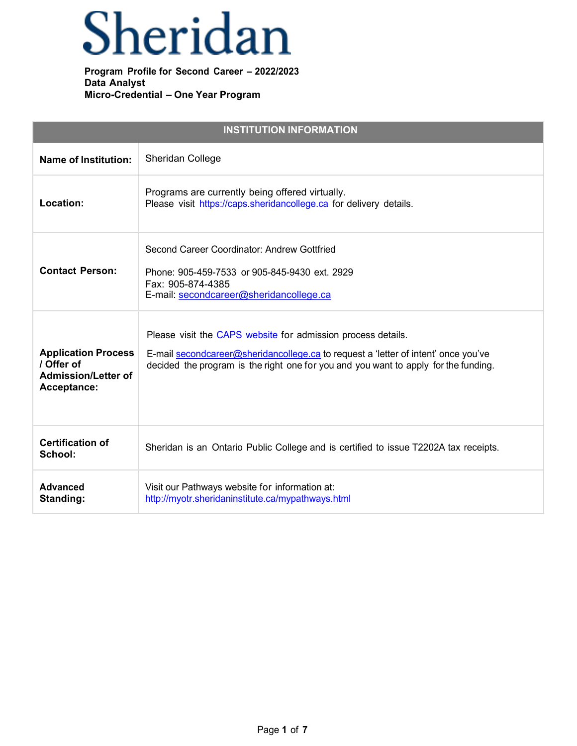## Sheridan

| <b>INSTITUTION INFORMATION</b>                                                        |                                                                                                                                                                                                                                           |  |
|---------------------------------------------------------------------------------------|-------------------------------------------------------------------------------------------------------------------------------------------------------------------------------------------------------------------------------------------|--|
| <b>Name of Institution:</b>                                                           | <b>Sheridan College</b>                                                                                                                                                                                                                   |  |
| Location:                                                                             | Programs are currently being offered virtually.<br>Please visit https://caps.sheridancollege.ca for delivery details.                                                                                                                     |  |
| <b>Contact Person:</b>                                                                | Second Career Coordinator: Andrew Gottfried<br>Phone: 905-459-7533 or 905-845-9430 ext. 2929<br>Fax: 905-874-4385<br>E-mail: secondcareer@sheridancollege.ca                                                                              |  |
| <b>Application Process</b><br>/ Offer of<br><b>Admission/Letter of</b><br>Acceptance: | Please visit the CAPS website for admission process details.<br>E-mail secondcareer@sheridancollege.ca to request a 'letter of intent' once you've<br>decided the program is the right one for you and you want to apply for the funding. |  |
| <b>Certification of</b><br>School:                                                    | Sheridan is an Ontario Public College and is certified to issue T2202A tax receipts.                                                                                                                                                      |  |
| <b>Advanced</b><br>Standing:                                                          | Visit our Pathways website for information at:<br>http://myotr.sheridaninstitute.ca/mypathways.html                                                                                                                                       |  |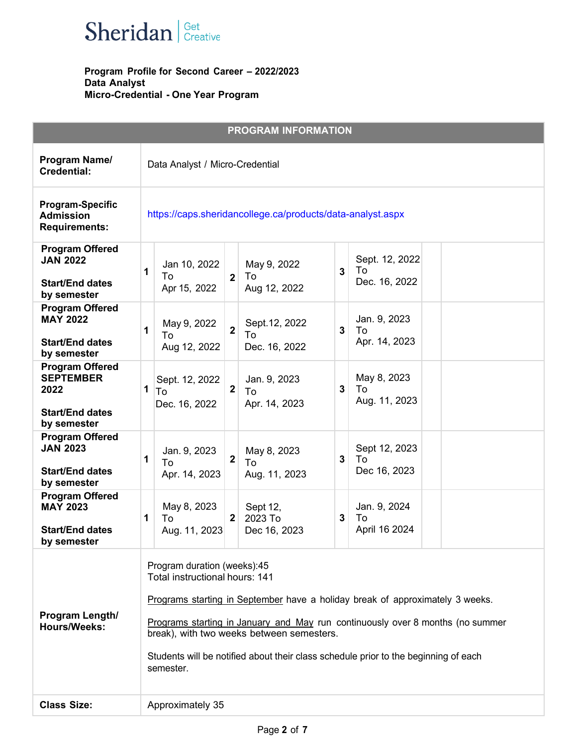

|                                                                                             |                                                                                                                                                                                                                                                                                                                                                                                   | <b>PROGRAM INFORMATION</b>                                     |                                            |  |
|---------------------------------------------------------------------------------------------|-----------------------------------------------------------------------------------------------------------------------------------------------------------------------------------------------------------------------------------------------------------------------------------------------------------------------------------------------------------------------------------|----------------------------------------------------------------|--------------------------------------------|--|
| Program Name/<br><b>Credential:</b>                                                         | Data Analyst / Micro-Credential                                                                                                                                                                                                                                                                                                                                                   |                                                                |                                            |  |
| <b>Program-Specific</b><br><b>Admission</b><br><b>Requirements:</b>                         | https://caps.sheridancollege.ca/products/data-analyst.aspx                                                                                                                                                                                                                                                                                                                        |                                                                |                                            |  |
| <b>Program Offered</b><br><b>JAN 2022</b><br><b>Start/End dates</b><br>by semester          | Jan 10, 2022<br>1<br>To<br>Apr 15, 2022                                                                                                                                                                                                                                                                                                                                           | May 9, 2022<br>To<br>$\overline{2}$<br>Aug 12, 2022            | Sept. 12, 2022<br>To<br>3<br>Dec. 16, 2022 |  |
| <b>Program Offered</b><br><b>MAY 2022</b><br><b>Start/End dates</b><br>by semester          | May 9, 2022<br>1<br>To<br>Aug 12, 2022                                                                                                                                                                                                                                                                                                                                            | Sept. 12, 2022<br>$\overline{2}$<br>To<br>Dec. 16, 2022        | Jan. 9, 2023<br>3<br>To<br>Apr. 14, 2023   |  |
| <b>Program Offered</b><br><b>SEPTEMBER</b><br>2022<br><b>Start/End dates</b><br>by semester | Sept. 12, 2022<br>1<br>To<br>Dec. 16, 2022                                                                                                                                                                                                                                                                                                                                        | Jan. 9, 2023<br>$\overline{\mathbf{2}}$<br>To<br>Apr. 14, 2023 | May 8, 2023<br>3<br>To<br>Aug. 11, 2023    |  |
| <b>Program Offered</b><br><b>JAN 2023</b><br><b>Start/End dates</b><br>by semester          | Jan. 9, 2023<br>1<br>Τo<br>Apr. 14, 2023                                                                                                                                                                                                                                                                                                                                          | May 8, 2023<br>$\mathbf 2$<br>To<br>Aug. 11, 2023              | Sept 12, 2023<br>3<br>To<br>Dec 16, 2023   |  |
| <b>Program Offered</b><br><b>MAY 2023</b><br><b>Start/End dates</b><br>by semester          | May 8, 2023<br>1<br>To<br>Aug. 11, 2023                                                                                                                                                                                                                                                                                                                                           | Sept 12,<br>2023 To<br>$\mathbf{2}$<br>Dec 16, 2023            | Jan. 9, 2024<br>To<br>3<br>April 16 2024   |  |
| Program Length/<br><b>Hours/Weeks:</b>                                                      | Program duration (weeks):45<br>Total instructional hours: 141<br>Programs starting in September have a holiday break of approximately 3 weeks.<br>Programs starting in January and May run continuously over 8 months (no summer<br>break), with two weeks between semesters.<br>Students will be notified about their class schedule prior to the beginning of each<br>semester. |                                                                |                                            |  |
| <b>Class Size:</b>                                                                          | Approximately 35                                                                                                                                                                                                                                                                                                                                                                  |                                                                |                                            |  |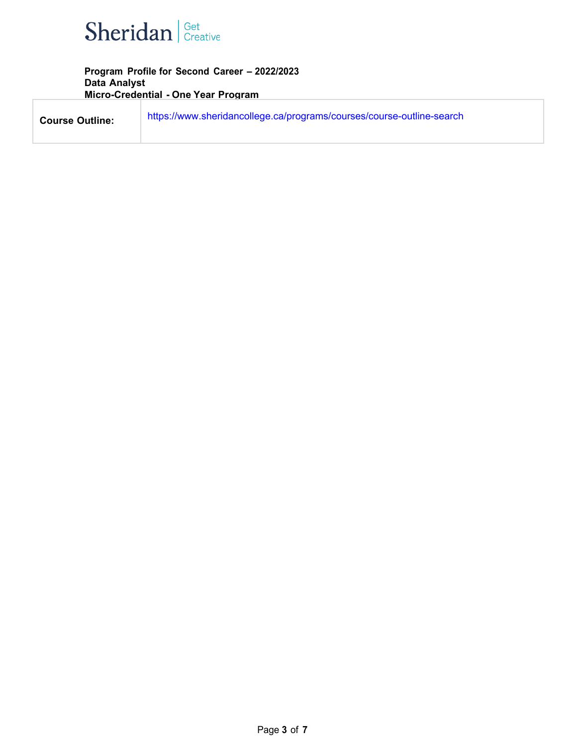

| <b>Course Outline:</b> | https://www.sheridancollege.ca/programs/courses/course-outline-search |
|------------------------|-----------------------------------------------------------------------|
|                        |                                                                       |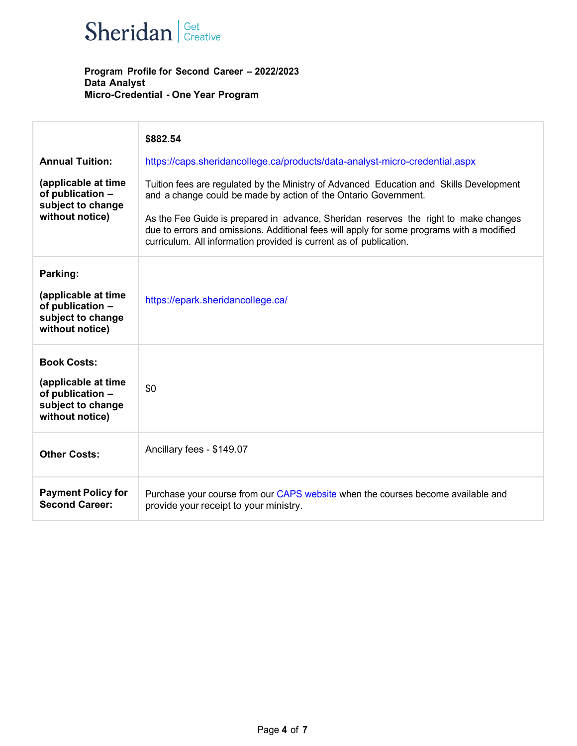

|                                                                                                       | \$882.54                                                                                                                                                                                                                                                                                                                                                                                                              |
|-------------------------------------------------------------------------------------------------------|-----------------------------------------------------------------------------------------------------------------------------------------------------------------------------------------------------------------------------------------------------------------------------------------------------------------------------------------------------------------------------------------------------------------------|
| <b>Annual Tuition:</b>                                                                                | https://caps.sheridancollege.ca/products/data-analyst-micro-credential.aspx                                                                                                                                                                                                                                                                                                                                           |
| (applicable at time<br>of publication -<br>subject to change<br>without notice)                       | Tuition fees are regulated by the Ministry of Advanced Education and Skills Development<br>and a change could be made by action of the Ontario Government.<br>As the Fee Guide is prepared in advance, Sheridan reserves the right to make changes<br>due to errors and omissions. Additional fees will apply for some programs with a modified<br>curriculum. All information provided is current as of publication. |
| Parking:<br>(applicable at time<br>of publication -<br>subject to change<br>without notice)           | https://epark.sheridancollege.ca/                                                                                                                                                                                                                                                                                                                                                                                     |
| <b>Book Costs:</b><br>(applicable at time<br>of publication -<br>subject to change<br>without notice) | \$0                                                                                                                                                                                                                                                                                                                                                                                                                   |
| <b>Other Costs:</b>                                                                                   | Ancillary fees - \$149.07                                                                                                                                                                                                                                                                                                                                                                                             |
| <b>Payment Policy for</b><br><b>Second Career:</b>                                                    | Purchase your course from our CAPS website when the courses become available and<br>provide your receipt to your ministry.                                                                                                                                                                                                                                                                                            |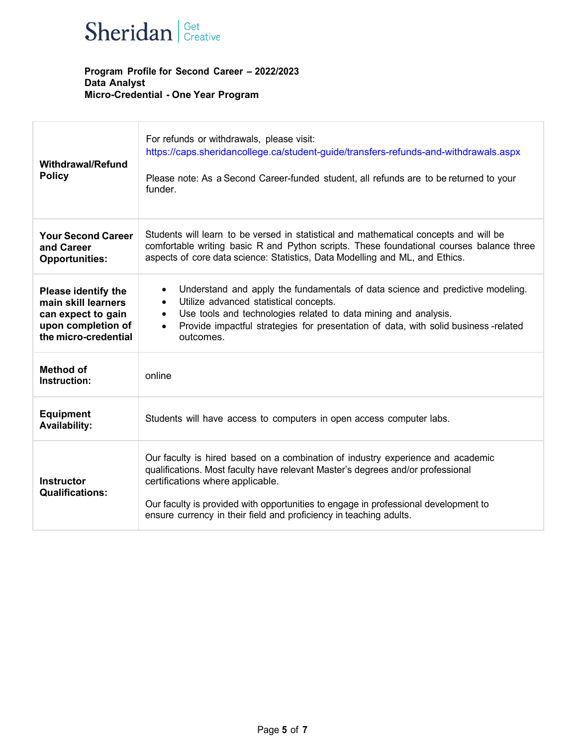

| <b>Withdrawal/Refund</b><br><b>Policy</b>                                                                             | For refunds or withdrawals, please visit:<br>https://caps.sheridancollege.ca/student-guide/transfers-refunds-and-withdrawals.aspx<br>Please note: As a Second Career-funded student, all refunds are to be returned to your<br>funder.                                                                                                                              |
|-----------------------------------------------------------------------------------------------------------------------|---------------------------------------------------------------------------------------------------------------------------------------------------------------------------------------------------------------------------------------------------------------------------------------------------------------------------------------------------------------------|
| <b>Your Second Career</b><br>and Career<br><b>Opportunities:</b>                                                      | Students will learn to be versed in statistical and mathematical concepts and will be<br>comfortable writing basic R and Python scripts. These foundational courses balance three<br>aspects of core data science: Statistics, Data Modelling and ML, and Ethics.                                                                                                   |
| <b>Please identify the</b><br>main skill learners<br>can expect to gain<br>upon completion of<br>the micro-credential | Understand and apply the fundamentals of data science and predictive modeling.<br>$\bullet$<br>Utilize advanced statistical concepts.<br>$\bullet$<br>Use tools and technologies related to data mining and analysis.<br>$\bullet$<br>Provide impactful strategies for presentation of data, with solid business-related<br>$\bullet$<br>outcomes.                  |
| <b>Method of</b><br>Instruction:                                                                                      | online                                                                                                                                                                                                                                                                                                                                                              |
| <b>Equipment</b><br><b>Availability:</b>                                                                              | Students will have access to computers in open access computer labs.                                                                                                                                                                                                                                                                                                |
| <b>Instructor</b><br><b>Qualifications:</b>                                                                           | Our faculty is hired based on a combination of industry experience and academic<br>qualifications. Most faculty have relevant Master's degrees and/or professional<br>certifications where applicable.<br>Our faculty is provided with opportunities to engage in professional development to<br>ensure currency in their field and proficiency in teaching adults. |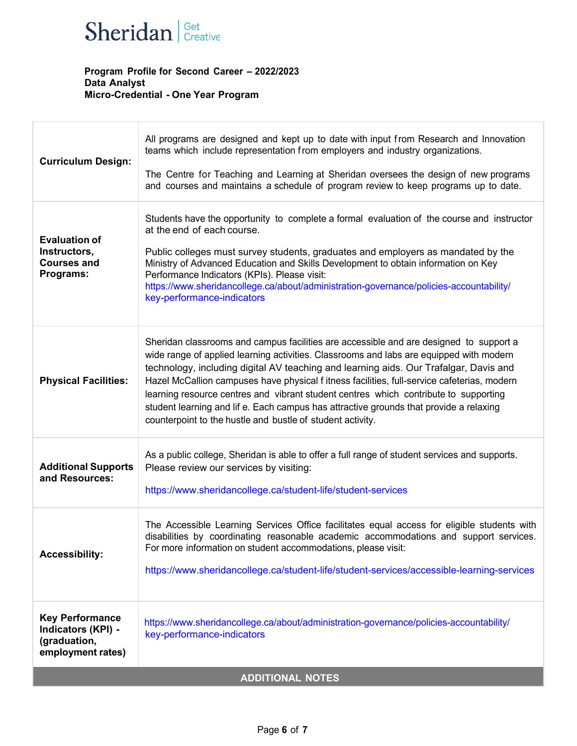

| <b>Curriculum Design:</b>                                                         | All programs are designed and kept up to date with input from Research and Innovation<br>teams which include representation from employers and industry organizations.<br>The Centre for Teaching and Learning at Sheridan oversees the design of new programs<br>and courses and maintains a schedule of program review to keep programs up to date.                                                                                                                                                                                                                                                                     |  |
|-----------------------------------------------------------------------------------|---------------------------------------------------------------------------------------------------------------------------------------------------------------------------------------------------------------------------------------------------------------------------------------------------------------------------------------------------------------------------------------------------------------------------------------------------------------------------------------------------------------------------------------------------------------------------------------------------------------------------|--|
| <b>Evaluation of</b><br>Instructors,<br><b>Courses and</b><br>Programs:           | Students have the opportunity to complete a formal evaluation of the course and instructor<br>at the end of each course.<br>Public colleges must survey students, graduates and employers as mandated by the<br>Ministry of Advanced Education and Skills Development to obtain information on Key<br>Performance Indicators (KPIs). Please visit:<br>https://www.sheridancollege.ca/about/administration-governance/policies-accountability/<br>key-performance-indicators                                                                                                                                               |  |
| <b>Physical Facilities:</b>                                                       | Sheridan classrooms and campus facilities are accessible and are designed to support a<br>wide range of applied learning activities. Classrooms and labs are equipped with modern<br>technology, including digital AV teaching and learning aids. Our Trafalgar, Davis and<br>Hazel McCallion campuses have physical f itness facilities, full-service cafeterias, modern<br>learning resource centres and vibrant student centres which contribute to supporting<br>student learning and lif e. Each campus has attractive grounds that provide a relaxing<br>counterpoint to the hustle and bustle of student activity. |  |
| <b>Additional Supports</b><br>and Resources:                                      | As a public college, Sheridan is able to offer a full range of student services and supports.<br>Please review our services by visiting:<br>https://www.sheridancollege.ca/student-life/student-services                                                                                                                                                                                                                                                                                                                                                                                                                  |  |
| <b>Accessibility:</b>                                                             | The Accessible Learning Services Office facilitates equal access for eligible students with<br>disabilities by coordinating reasonable academic accommodations and support services.<br>For more information on student accommodations, please visit:<br>https://www.sheridancollege.ca/student-life/student-services/accessible-learning-services                                                                                                                                                                                                                                                                        |  |
| <b>Key Performance</b><br>Indicators (KPI) -<br>(graduation,<br>employment rates) | https://www.sheridancollege.ca/about/administration-governance/policies-accountability/<br>key-performance-indicators                                                                                                                                                                                                                                                                                                                                                                                                                                                                                                     |  |
| <b>ADDITIONAL NOTES</b>                                                           |                                                                                                                                                                                                                                                                                                                                                                                                                                                                                                                                                                                                                           |  |